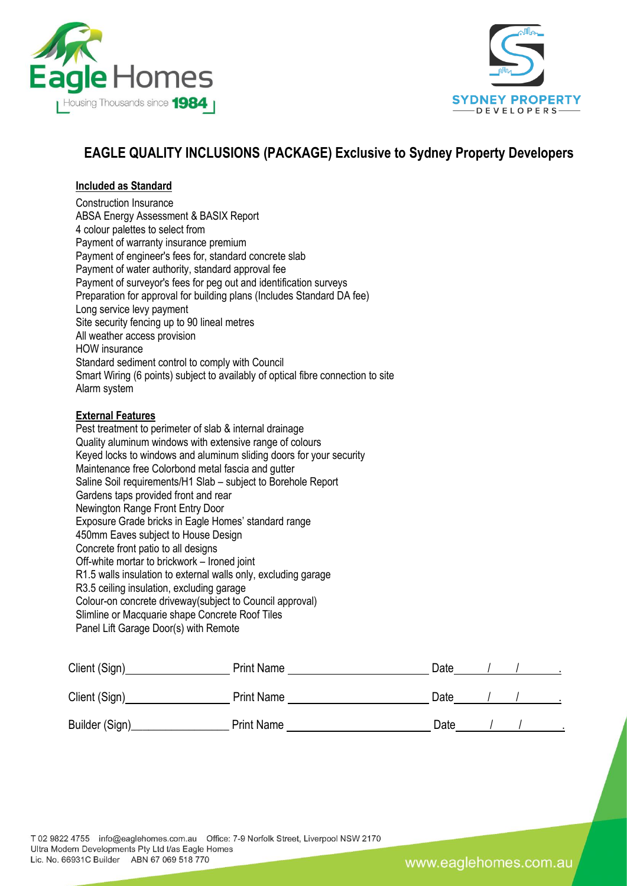



# **EAGLE QUALITY INCLUSIONS (PACKAGE) Exclusive to Sydney Property Developers**

## **Included as Standard**

Construction Insurance ABSA Energy Assessment & BASIX Report 4 colour palettes to select from Payment of warranty insurance premium Payment of engineer's fees for, standard concrete slab Payment of water authority, standard approval fee Payment of surveyor's fees for peg out and identification surveys Preparation for approval for building plans (Includes Standard DA fee) Long service levy payment Site security fencing up to 90 lineal metres All weather access provision HOW insurance Standard sediment control to comply with Council Smart Wiring (6 points) subject to availably of optical fibre connection to site Alarm system

## **External Features**

Pest treatment to perimeter of slab & internal drainage Quality aluminum windows with extensive range of colours Keyed locks to windows and aluminum sliding doors for your security Maintenance free Colorbond metal fascia and gutter Saline Soil requirements/H1 Slab – subject to Borehole Report Gardens taps provided front and rear Newington Range Front Entry Door Exposure Grade bricks in Eagle Homes' standard range 450mm Eaves subject to House Design Concrete front patio to all designs Off-white mortar to brickwork – Ironed joint R1.5 walls insulation to external walls only, excluding garage R3.5 ceiling insulation, excluding garage Colour-on concrete driveway(subject to Council approval) Slimline or Macquarie shape Concrete Roof Tiles Panel Lift Garage Door(s) with Remote

| Client (Sign)  | <b>Print Name</b> | Date |  |  |
|----------------|-------------------|------|--|--|
| Client (Sign)  | <b>Print Name</b> | Date |  |  |
| Builder (Sign) | <b>Print Name</b> | Date |  |  |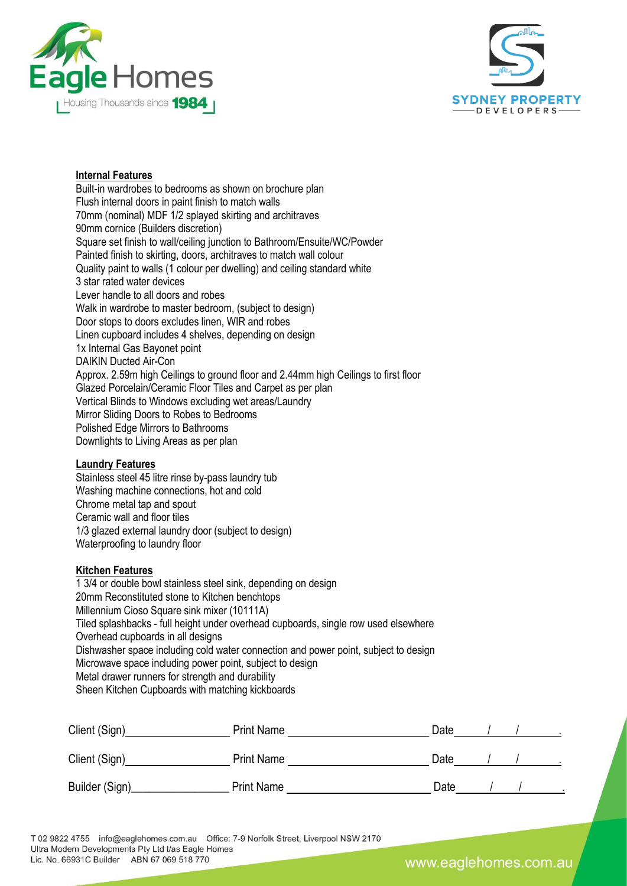



## **Internal Features**

Built-in wardrobes to bedrooms as shown on brochure plan Flush internal doors in paint finish to match walls 70mm (nominal) MDF 1/2 splayed skirting and architraves 90mm cornice (Builders discretion) Square set finish to wall/ceiling junction to Bathroom/Ensuite/WC/Powder Painted finish to skirting, doors, architraves to match wall colour Quality paint to walls (1 colour per dwelling) and ceiling standard white 3 star rated water devices Lever handle to all doors and robes Walk in wardrobe to master bedroom, (subject to design) Door stops to doors excludes linen, WIR and robes Linen cupboard includes 4 shelves, depending on design 1x Internal Gas Bayonet point DAIKIN Ducted Air-Con Approx. 2.59m high Ceilings to ground floor and 2.44mm high Ceilings to first floor Glazed Porcelain/Ceramic Floor Tiles and Carpet as per plan Vertical Blinds to Windows excluding wet areas/Laundry Mirror Sliding Doors to Robes to Bedrooms Polished Edge Mirrors to Bathrooms Downlights to Living Areas as per plan

#### **Laundry Features**

Stainless steel 45 litre rinse by-pass laundry tub Washing machine connections, hot and cold Chrome metal tap and spout Ceramic wall and floor tiles 1/3 glazed external laundry door (subject to design) Waterproofing to laundry floor

## **Kitchen Features**

1 3/4 or double bowl stainless steel sink, depending on design 20mm Reconstituted stone to Kitchen benchtops Millennium Cioso Square sink mixer (10111A) Tiled splashbacks - full height under overhead cupboards, single row used elsewhere Overhead cupboards in all designs Dishwasher space including cold water connection and power point, subject to design Microwave space including power point, subject to design Metal drawer runners for strength and durability Sheen Kitchen Cupboards with matching kickboards

| Client (Sign)  | <b>Print Name</b> | Date |  |  |
|----------------|-------------------|------|--|--|
| Client (Sign)  | <b>Print Name</b> | Date |  |  |
| Builder (Sign) | <b>Print Name</b> | Date |  |  |

T 02 9822 4755 info@eaglehomes.com.au Office: 7-9 Norfolk Street, Liverpool NSW 2170 Ultra Modern Developments Pty Ltd t/as Eagle Homes Lic. No. 66931C Builder ABN 67 069 518 770